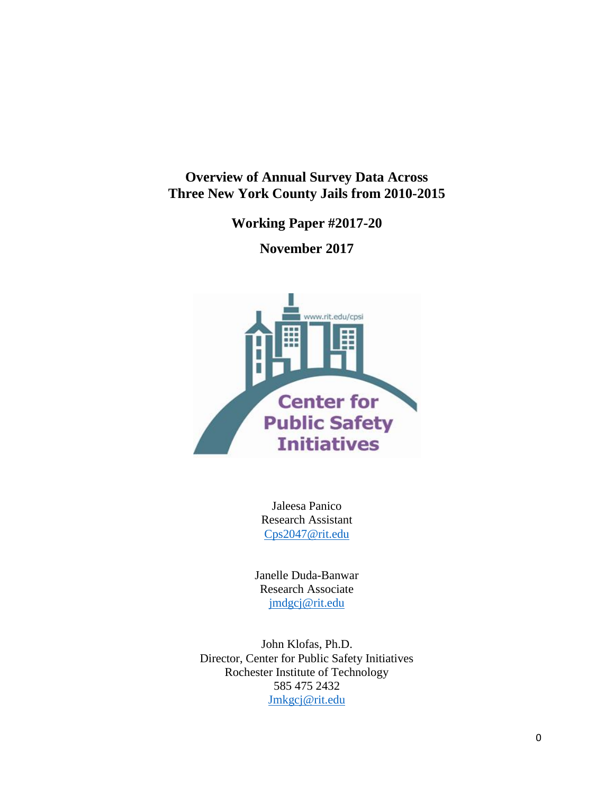**Overview of Annual Survey Data Across Three New York County Jails from 2010-2015**

**Working Paper #2017-20**

**November 2017**



Jaleesa Panico Research Assistant [Cps2047@rit.edu](mailto:Cps2047@rit.edu) 

Janelle Duda-Banwar Research Associate [jmdgcj@rit.edu](mailto:jmdgcj@rit.edu)

John Klofas, Ph.D. Director, Center for Public Safety Initiatives Rochester Institute of Technology 585 475 2432 [Jmkgcj@rit.edu](mailto:Jmkgcj@rit.edu)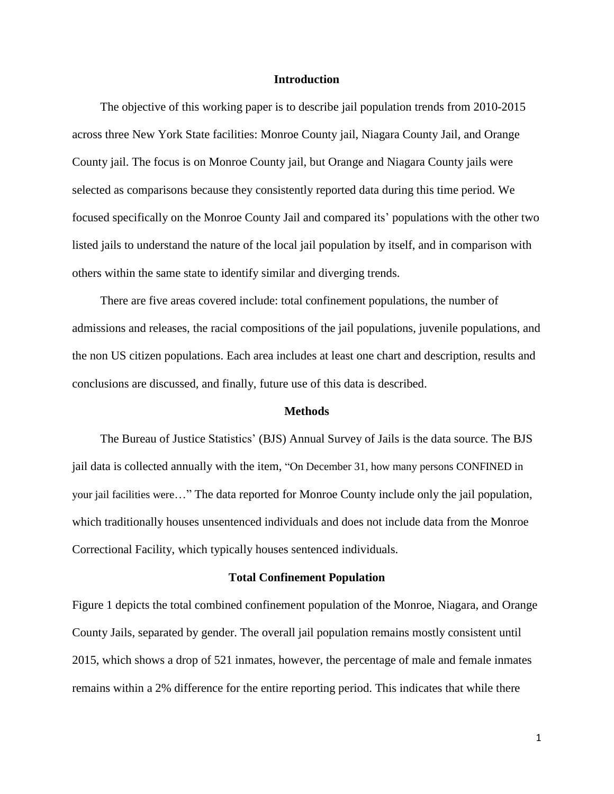### **Introduction**

The objective of this working paper is to describe jail population trends from 2010-2015 across three New York State facilities: Monroe County jail, Niagara County Jail, and Orange County jail. The focus is on Monroe County jail, but Orange and Niagara County jails were selected as comparisons because they consistently reported data during this time period. We focused specifically on the Monroe County Jail and compared its' populations with the other two listed jails to understand the nature of the local jail population by itself, and in comparison with others within the same state to identify similar and diverging trends.

There are five areas covered include: total confinement populations, the number of admissions and releases, the racial compositions of the jail populations, juvenile populations, and the non US citizen populations. Each area includes at least one chart and description, results and conclusions are discussed, and finally, future use of this data is described.

### **Methods**

The Bureau of Justice Statistics' (BJS) Annual Survey of Jails is the data source. The BJS jail data is collected annually with the item, "On December 31, how many persons CONFINED in your jail facilities were…" The data reported for Monroe County include only the jail population, which traditionally houses unsentenced individuals and does not include data from the Monroe Correctional Facility, which typically houses sentenced individuals.

#### **Total Confinement Population**

Figure 1 depicts the total combined confinement population of the Monroe, Niagara, and Orange County Jails, separated by gender. The overall jail population remains mostly consistent until 2015, which shows a drop of 521 inmates, however, the percentage of male and female inmates remains within a 2% difference for the entire reporting period. This indicates that while there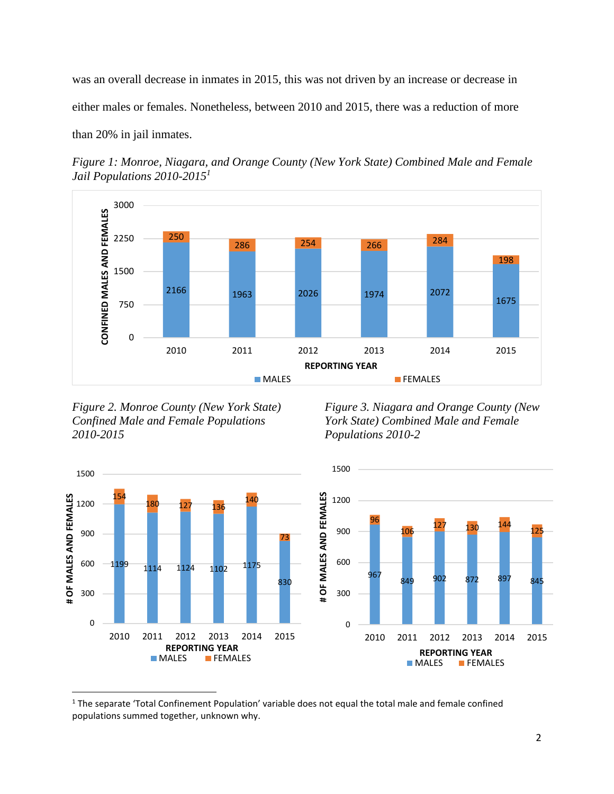was an overall decrease in inmates in 2015, this was not driven by an increase or decrease in either males or females. Nonetheless, between 2010 and 2015, there was a reduction of more than 20% in jail inmates.

*Figure 1: Monroe, Niagara, and Orange County (New York State) Combined Male and Female Jail Populations 2010-2015<sup>1</sup>*



*Figure 2. Monroe County (New York State) Confined Male and Female Populations 2010-2015*

 $\overline{\phantom{a}}$ 

*Figure 3. Niagara and Orange County (New York State) Combined Male and Female Populations 2010-2*



 The separate 'Total Confinement Population' variable does not equal the total male and female confined populations summed together, unknown why.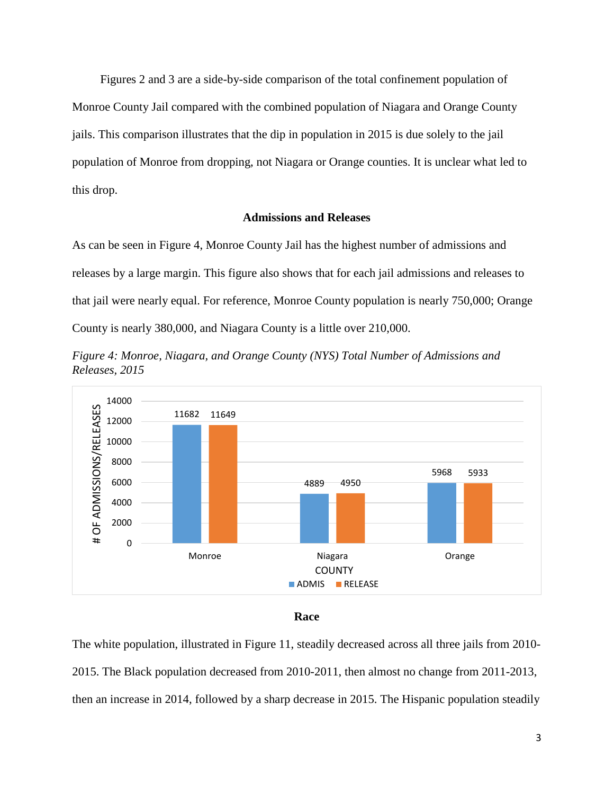Figures 2 and 3 are a side-by-side comparison of the total confinement population of Monroe County Jail compared with the combined population of Niagara and Orange County jails. This comparison illustrates that the dip in population in 2015 is due solely to the jail population of Monroe from dropping, not Niagara or Orange counties. It is unclear what led to this drop.

## **Admissions and Releases**

As can be seen in Figure 4, Monroe County Jail has the highest number of admissions and releases by a large margin. This figure also shows that for each jail admissions and releases to that jail were nearly equal. For reference, Monroe County population is nearly 750,000; Orange County is nearly 380,000, and Niagara County is a little over 210,000.

*Figure 4: Monroe, Niagara, and Orange County (NYS) Total Number of Admissions and Releases, 2015*





The white population, illustrated in Figure 11, steadily decreased across all three jails from 2010- 2015. The Black population decreased from 2010-2011, then almost no change from 2011-2013, then an increase in 2014, followed by a sharp decrease in 2015. The Hispanic population steadily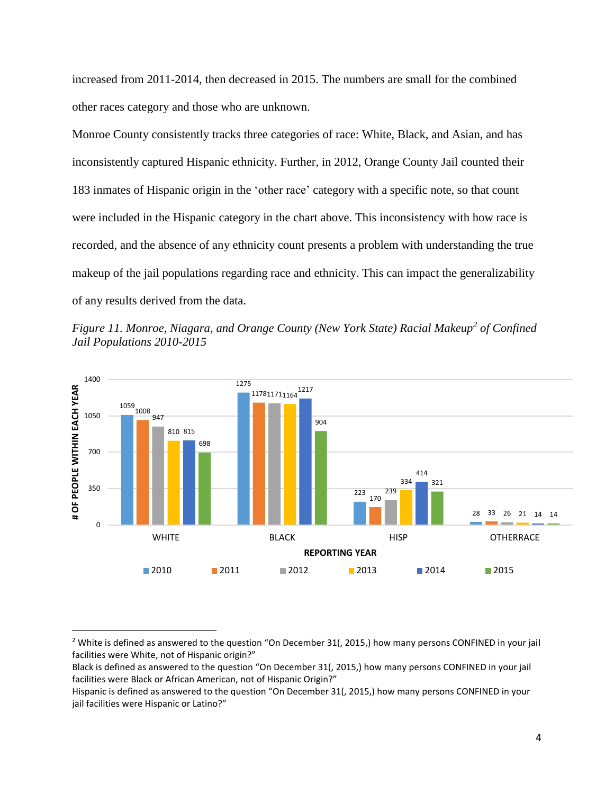increased from 2011-2014, then decreased in 2015. The numbers are small for the combined other races category and those who are unknown.

Monroe County consistently tracks three categories of race: White, Black, and Asian, and has inconsistently captured Hispanic ethnicity. Further, in 2012, Orange County Jail counted their 183 inmates of Hispanic origin in the 'other race' category with a specific note, so that count were included in the Hispanic category in the chart above. This inconsistency with how race is recorded, and the absence of any ethnicity count presents a problem with understanding the true makeup of the jail populations regarding race and ethnicity. This can impact the generalizability of any results derived from the data.





 $\overline{\phantom{a}}$ 

<sup>&</sup>lt;sup>2</sup> White is defined as answered to the question "On December 31(, 2015,) how many persons CONFINED in your jail facilities were White, not of Hispanic origin?"

Black is defined as answered to the question "On December 31(, 2015,) how many persons CONFINED in your jail facilities were Black or African American, not of Hispanic Origin?"

Hispanic is defined as answered to the question "On December 31(, 2015,) how many persons CONFINED in your jail facilities were Hispanic or Latino?"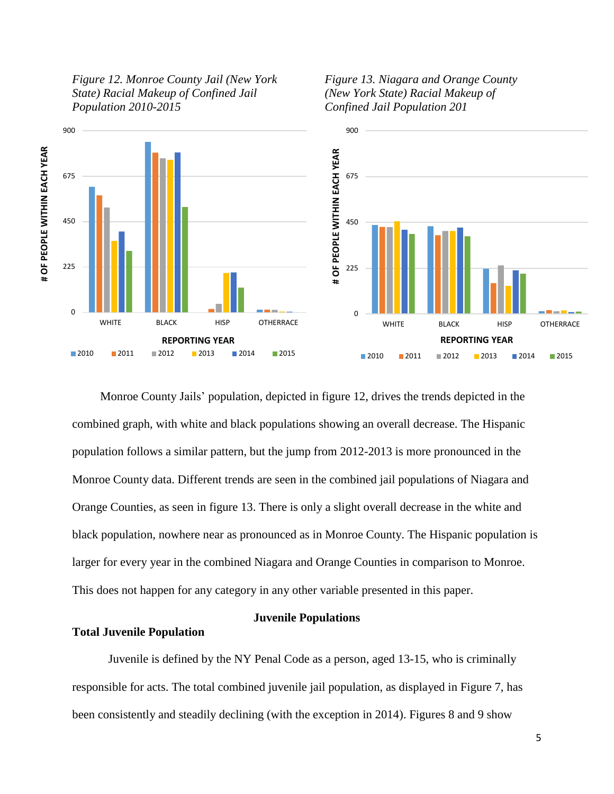

*Figure 13. Niagara and Orange County (New York State) Racial Makeup of Confined Jail Population 201*



Monroe County Jails' population, depicted in figure 12, drives the trends depicted in the combined graph, with white and black populations showing an overall decrease. The Hispanic population follows a similar pattern, but the jump from 2012-2013 is more pronounced in the Monroe County data. Different trends are seen in the combined jail populations of Niagara and Orange Counties, as seen in figure 13. There is only a slight overall decrease in the white and black population, nowhere near as pronounced as in Monroe County. The Hispanic population is larger for every year in the combined Niagara and Orange Counties in comparison to Monroe. This does not happen for any category in any other variable presented in this paper.

# **Juvenile Populations**

# **Total Juvenile Population**

Juvenile is defined by the NY Penal Code as a person, aged 13-15, who is criminally responsible for acts. The total combined juvenile jail population, as displayed in Figure 7, has been consistently and steadily declining (with the exception in 2014). Figures 8 and 9 show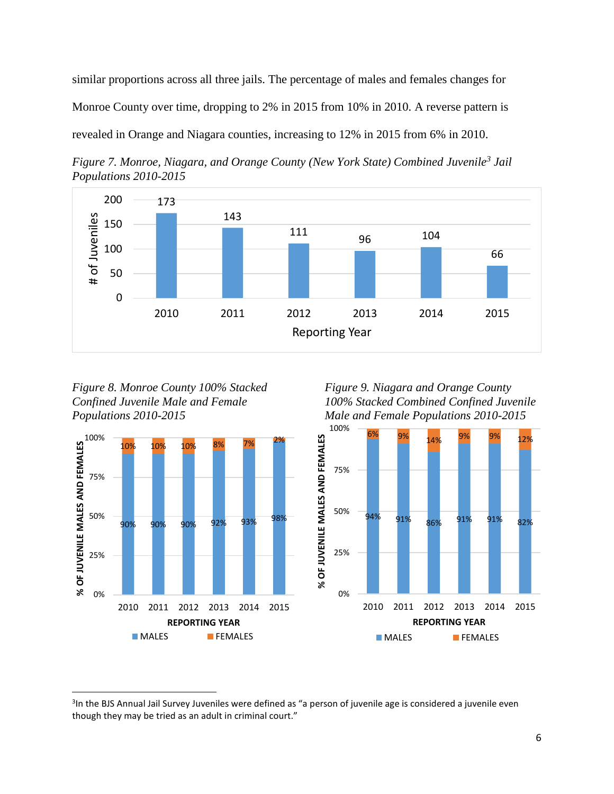similar proportions across all three jails. The percentage of males and females changes for Monroe County over time, dropping to 2% in 2015 from 10% in 2010. A reverse pattern is revealed in Orange and Niagara counties, increasing to 12% in 2015 from 6% in 2010.





*Figure 8. Monroe County 100% Stacked Confined Juvenile Male and Female Populations 2010-2015*



 $\overline{\phantom{a}}$ 

*Figure 9. Niagara and Orange County 100% Stacked Combined Confined Juvenile Male and Female Populations 2010-2015*



<sup>&</sup>lt;sup>3</sup>In the BJS Annual Jail Survey Juveniles were defined as "a person of juvenile age is considered a juvenile even though they may be tried as an adult in criminal court."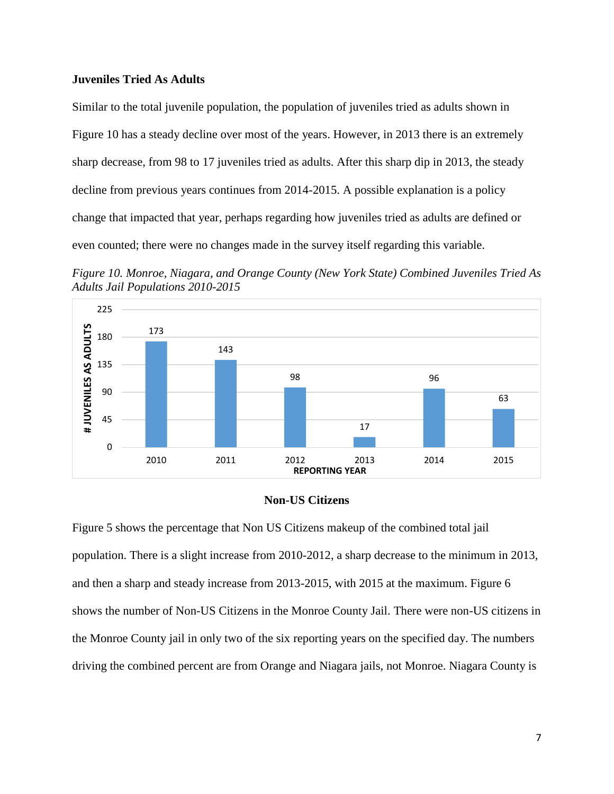## **Juveniles Tried As Adults**

Similar to the total juvenile population, the population of juveniles tried as adults shown in Figure 10 has a steady decline over most of the years. However, in 2013 there is an extremely sharp decrease, from 98 to 17 juveniles tried as adults. After this sharp dip in 2013, the steady decline from previous years continues from 2014-2015. A possible explanation is a policy change that impacted that year, perhaps regarding how juveniles tried as adults are defined or even counted; there were no changes made in the survey itself regarding this variable.

*Figure 10. Monroe, Niagara, and Orange County (New York State) Combined Juveniles Tried As Adults Jail Populations 2010-2015*



### **Non-US Citizens**

Figure 5 shows the percentage that Non US Citizens makeup of the combined total jail population. There is a slight increase from 2010-2012, a sharp decrease to the minimum in 2013, and then a sharp and steady increase from 2013-2015, with 2015 at the maximum. Figure 6 shows the number of Non-US Citizens in the Monroe County Jail. There were non-US citizens in the Monroe County jail in only two of the six reporting years on the specified day. The numbers driving the combined percent are from Orange and Niagara jails, not Monroe. Niagara County is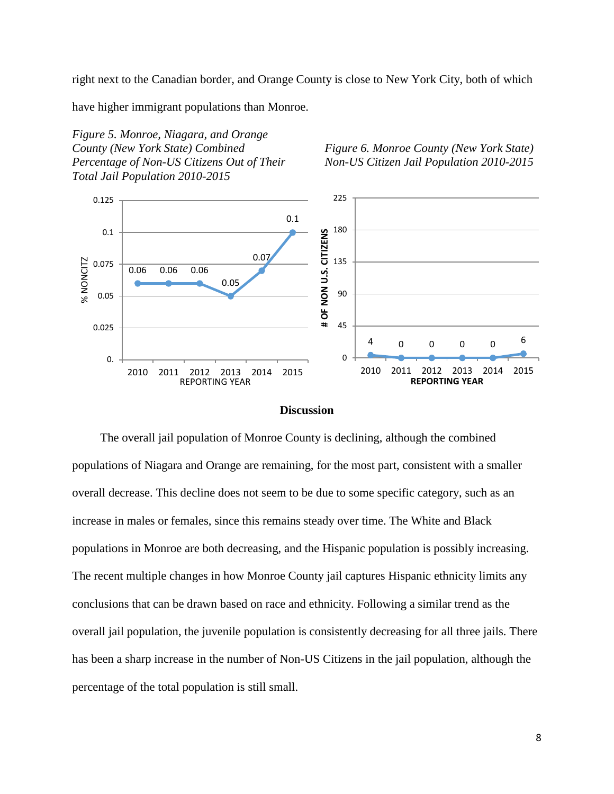right next to the Canadian border, and Orange County is close to New York City, both of which

have higher immigrant populations than Monroe.

*Figure 5. Monroe, Niagara, and Orange County (New York State) Combined Percentage of Non-US Citizens Out of Their Total Jail Population 2010-2015*

*Figure 6. Monroe County (New York State) Non-US Citizen Jail Population 2010-2015*



### **Discussion**

The overall jail population of Monroe County is declining, although the combined populations of Niagara and Orange are remaining, for the most part, consistent with a smaller overall decrease. This decline does not seem to be due to some specific category, such as an increase in males or females, since this remains steady over time. The White and Black populations in Monroe are both decreasing, and the Hispanic population is possibly increasing. The recent multiple changes in how Monroe County jail captures Hispanic ethnicity limits any conclusions that can be drawn based on race and ethnicity. Following a similar trend as the overall jail population, the juvenile population is consistently decreasing for all three jails. There has been a sharp increase in the number of Non-US Citizens in the jail population, although the percentage of the total population is still small.